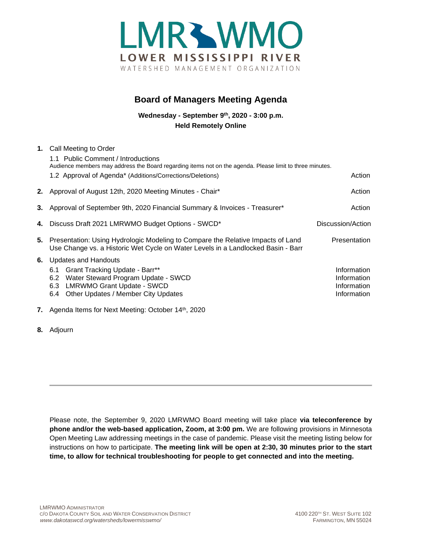

# **Board of Managers Meeting Agenda**

**Wednesday - September 9th, 2020 - 3:00 p.m. Held Remotely Online**

|    | 1. Call Meeting to Order                                                                                                                                            |                     |
|----|---------------------------------------------------------------------------------------------------------------------------------------------------------------------|---------------------|
|    | 1.1 Public Comment / Introductions                                                                                                                                  |                     |
|    | Audience members may address the Board regarding items not on the agenda. Please limit to three minutes.                                                            |                     |
|    | 1.2 Approval of Agenda* (Additions/Corrections/Deletions)                                                                                                           | Action              |
|    | 2. Approval of August 12th, 2020 Meeting Minutes - Chair*                                                                                                           | Action              |
|    | 3. Approval of September 9th, 2020 Financial Summary & Invoices - Treasurer*                                                                                        | Action              |
|    | 4. Discuss Draft 2021 LMRWMO Budget Options - SWCD*                                                                                                                 | Discussion/Action   |
| 5. | Presentation: Using Hydrologic Modeling to Compare the Relative Impacts of Land<br>Use Change vs. a Historic Wet Cycle on Water Levels in a Landlocked Basin - Barr | <b>Presentation</b> |
|    | 6. Updates and Handouts                                                                                                                                             |                     |
|    | 6.1 Grant Tracking Update - Barr**                                                                                                                                  | Information         |
|    | Water Steward Program Update - SWCD<br>6.2                                                                                                                          | Information         |
|    | <b>LMRWMO Grant Update - SWCD</b><br>6.3                                                                                                                            | Information         |
|    | Other Updates / Member City Updates<br>6.4                                                                                                                          | Information         |
|    | 7. Agenda Items for Next Meeting: October 14 <sup>th</sup> , 2020                                                                                                   |                     |

**8.** Adjourn

Please note, the September 9, 2020 LMRWMO Board meeting will take place **via teleconference by phone and/or the web-based application, Zoom, at 3:00 pm.** We are following provisions in Minnesota Open Meeting Law addressing meetings in the case of pandemic. Please visit the meeting listing below for instructions on how to participate. **The meeting link will be open at 2:30, 30 minutes prior to the start time, to allow for technical troubleshooting for people to get connected and into the meeting.**